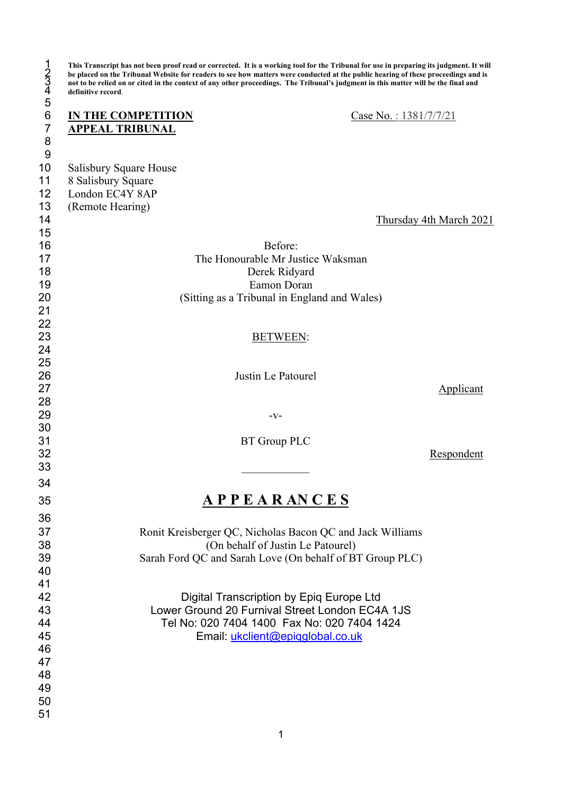| $\frac{1}{2}$ $\frac{2}{3}$ $\frac{4}{5}$ | This Transcript has not been proof read or corrected. It is a working tool for the Tribunal for use in preparing its judgment. It will<br>be placed on the Tribunal Website for readers to see how matters were conducted at the public hearing of these proceedings and is<br>not to be relied on or cited in the context of any other proceedings. The Tribunal's judgment in this matter will be the final and<br>definitive record. |                         |
|-------------------------------------------|-----------------------------------------------------------------------------------------------------------------------------------------------------------------------------------------------------------------------------------------------------------------------------------------------------------------------------------------------------------------------------------------------------------------------------------------|-------------------------|
| $\overline{6}$                            | <b>IN THE COMPETITION</b>                                                                                                                                                                                                                                                                                                                                                                                                               | Case No.: $1381/7/7/21$ |
| $\overline{7}$                            | <b>APPEAL TRIBUNAL</b>                                                                                                                                                                                                                                                                                                                                                                                                                  |                         |
| 8                                         |                                                                                                                                                                                                                                                                                                                                                                                                                                         |                         |
| 9                                         |                                                                                                                                                                                                                                                                                                                                                                                                                                         |                         |
| 10                                        | Salisbury Square House                                                                                                                                                                                                                                                                                                                                                                                                                  |                         |
| 11                                        | 8 Salisbury Square                                                                                                                                                                                                                                                                                                                                                                                                                      |                         |
| 12<br>13                                  | London EC4Y 8AP                                                                                                                                                                                                                                                                                                                                                                                                                         |                         |
| 14                                        | (Remote Hearing)                                                                                                                                                                                                                                                                                                                                                                                                                        | Thursday 4th March 2021 |
| 15                                        |                                                                                                                                                                                                                                                                                                                                                                                                                                         |                         |
| 16                                        | Before:                                                                                                                                                                                                                                                                                                                                                                                                                                 |                         |
| 17                                        | The Honourable Mr Justice Waksman                                                                                                                                                                                                                                                                                                                                                                                                       |                         |
| 18                                        | Derek Ridyard                                                                                                                                                                                                                                                                                                                                                                                                                           |                         |
| 19                                        | Eamon Doran                                                                                                                                                                                                                                                                                                                                                                                                                             |                         |
| 20                                        | (Sitting as a Tribunal in England and Wales)                                                                                                                                                                                                                                                                                                                                                                                            |                         |
| 21                                        |                                                                                                                                                                                                                                                                                                                                                                                                                                         |                         |
| 22<br>23                                  |                                                                                                                                                                                                                                                                                                                                                                                                                                         |                         |
| 24                                        | <b>BETWEEN:</b>                                                                                                                                                                                                                                                                                                                                                                                                                         |                         |
| 25                                        |                                                                                                                                                                                                                                                                                                                                                                                                                                         |                         |
| 26                                        | Justin Le Patourel                                                                                                                                                                                                                                                                                                                                                                                                                      |                         |
| 27                                        |                                                                                                                                                                                                                                                                                                                                                                                                                                         | Applicant               |
| 28                                        |                                                                                                                                                                                                                                                                                                                                                                                                                                         |                         |
| 29                                        | $-V-$                                                                                                                                                                                                                                                                                                                                                                                                                                   |                         |
| 30                                        |                                                                                                                                                                                                                                                                                                                                                                                                                                         |                         |
| 31                                        | <b>BT</b> Group PLC                                                                                                                                                                                                                                                                                                                                                                                                                     |                         |
| 32<br>33                                  |                                                                                                                                                                                                                                                                                                                                                                                                                                         | Respondent              |
|                                           |                                                                                                                                                                                                                                                                                                                                                                                                                                         |                         |
| 34                                        |                                                                                                                                                                                                                                                                                                                                                                                                                                         |                         |
| 35                                        | <u>APPEARANCES</u>                                                                                                                                                                                                                                                                                                                                                                                                                      |                         |
| 36                                        |                                                                                                                                                                                                                                                                                                                                                                                                                                         |                         |
| 37                                        | Ronit Kreisberger QC, Nicholas Bacon QC and Jack Williams                                                                                                                                                                                                                                                                                                                                                                               |                         |
| 38                                        | (On behalf of Justin Le Patourel)                                                                                                                                                                                                                                                                                                                                                                                                       |                         |
| 39                                        | Sarah Ford QC and Sarah Love (On behalf of BT Group PLC)                                                                                                                                                                                                                                                                                                                                                                                |                         |
| 40                                        |                                                                                                                                                                                                                                                                                                                                                                                                                                         |                         |
| 41<br>42                                  | Digital Transcription by Epiq Europe Ltd                                                                                                                                                                                                                                                                                                                                                                                                |                         |
| 43                                        | Lower Ground 20 Furnival Street London EC4A 1JS                                                                                                                                                                                                                                                                                                                                                                                         |                         |
| 44                                        | Tel No: 020 7404 1400 Fax No: 020 7404 1424                                                                                                                                                                                                                                                                                                                                                                                             |                         |
| 45                                        | Email: ukclient@epiqglobal.co.uk                                                                                                                                                                                                                                                                                                                                                                                                        |                         |
| 46                                        |                                                                                                                                                                                                                                                                                                                                                                                                                                         |                         |
| 47                                        |                                                                                                                                                                                                                                                                                                                                                                                                                                         |                         |
| 48                                        |                                                                                                                                                                                                                                                                                                                                                                                                                                         |                         |
| 49                                        |                                                                                                                                                                                                                                                                                                                                                                                                                                         |                         |
| 50<br>51                                  |                                                                                                                                                                                                                                                                                                                                                                                                                                         |                         |
|                                           |                                                                                                                                                                                                                                                                                                                                                                                                                                         |                         |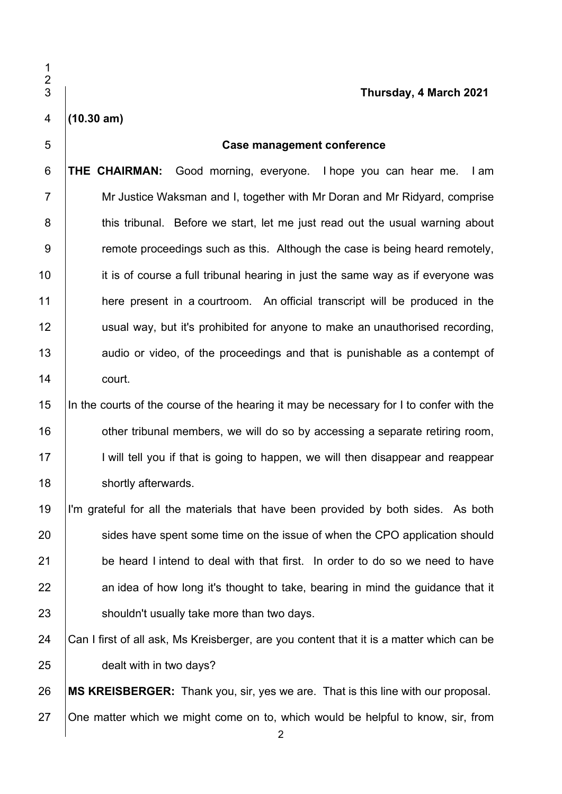| $\mathbf 1$<br>$\frac{2}{3}$ | Thursday, 4 March 2021                                                                   |
|------------------------------|------------------------------------------------------------------------------------------|
| $\overline{\mathbf{4}}$      | (10.30 am)                                                                               |
| 5                            | <b>Case management conference</b>                                                        |
| $6\phantom{1}6$              | Good morning, everyone. I hope you can hear me.<br>THE CHAIRMAN:<br>l am                 |
| $\overline{7}$               | Mr Justice Waksman and I, together with Mr Doran and Mr Ridyard, comprise                |
| 8                            | this tribunal. Before we start, let me just read out the usual warning about             |
| $\overline{9}$               | remote proceedings such as this. Although the case is being heard remotely,              |
| 10                           | it is of course a full tribunal hearing in just the same way as if everyone was          |
| 11                           | here present in a courtroom. An official transcript will be produced in the              |
| 12                           | usual way, but it's prohibited for anyone to make an unauthorised recording,             |
| 13                           | audio or video, of the proceedings and that is punishable as a contempt of               |
| 14                           | court.                                                                                   |
| 15                           | In the courts of the course of the hearing it may be necessary for I to confer with the  |
| 16                           | other tribunal members, we will do so by accessing a separate retiring room,             |
| 17                           | I will tell you if that is going to happen, we will then disappear and reappear          |
| 18                           | shortly afterwards.                                                                      |
| 19                           | I'm grateful for all the materials that have been provided by both sides. As both        |
| 20                           | sides have spent some time on the issue of when the CPO application should               |
| 21                           | be heard I intend to deal with that first. In order to do so we need to have             |
| 22                           | an idea of how long it's thought to take, bearing in mind the guidance that it           |
| 23                           | shouldn't usually take more than two days.                                               |
| 24                           | Can I first of all ask, Ms Kreisberger, are you content that it is a matter which can be |
| 25                           | dealt with in two days?                                                                  |
| 26                           | MS KREISBERGER: Thank you, sir, yes we are. That is this line with our proposal.         |
| 27                           | One matter which we might come on to, which would be helpful to know, sir, from          |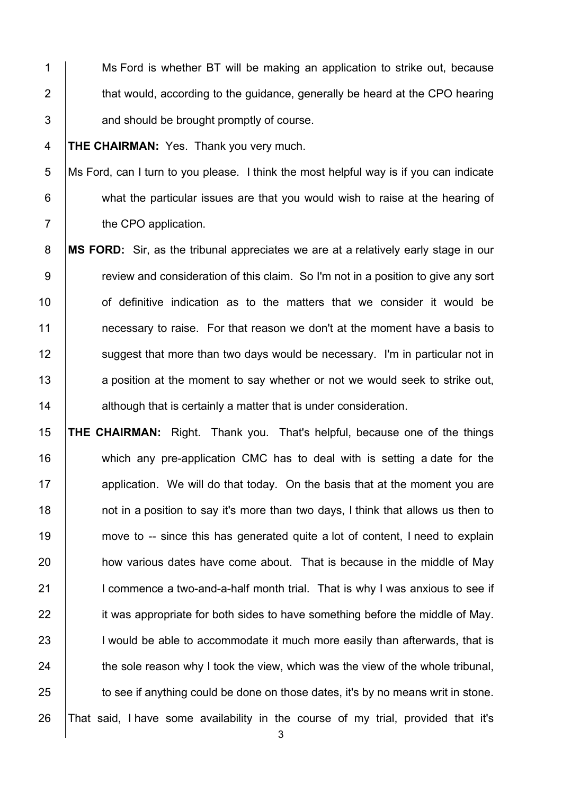1 Ms Ford is whether BT will be making an application to strike out, because 2  $\parallel$  that would, according to the guidance, generally be heard at the CPO hearing 3 **and should be brought promptly of course.** 

4 **THE CHAIRMAN:** Yes. Thank you very much.

5 Ms Ford, can I turn to you please. I think the most helpful way is if you can indicate 6 what the particular issues are that you would wish to raise at the hearing of 7 **the CPO application.** 

 **MS FORD:** Sir, as the tribunal appreciates we are at a relatively early stage in our **Fig. 2** review and consideration of this claim. So I'm not in a position to give any sort **1** of definitive indication as to the matters that we consider it would be **necessary to raise.** For that reason we don't at the moment have a basis to 12 Suggest that more than two days would be necessary. I'm in particular not in 13 a position at the moment to say whether or not we would seek to strike out, although that is certainly a matter that is under consideration.

15 **THE CHAIRMAN:** Right. Thank you. That's helpful, because one of the things 16 which any pre-application CMC has to deal with is setting a date for the 17 **A** application. We will do that today. On the basis that at the moment you are 18 **18** 18 not in a position to say it's more than two days, I think that allows us then to 19 move to -- since this has generated quite a lot of content, I need to explain 20 how various dates have come about. That is because in the middle of May 21 | I commence a two-and-a-half month trial. That is why I was anxious to see if 22 it was appropriate for both sides to have something before the middle of May. 23 I vould be able to accommodate it much more easily than afterwards, that is  $24$  the sole reason why I took the view, which was the view of the whole tribunal, 25 to see if anything could be done on those dates, it's by no means writ in stone. 26 That said, I have some availability in the course of my trial, provided that it's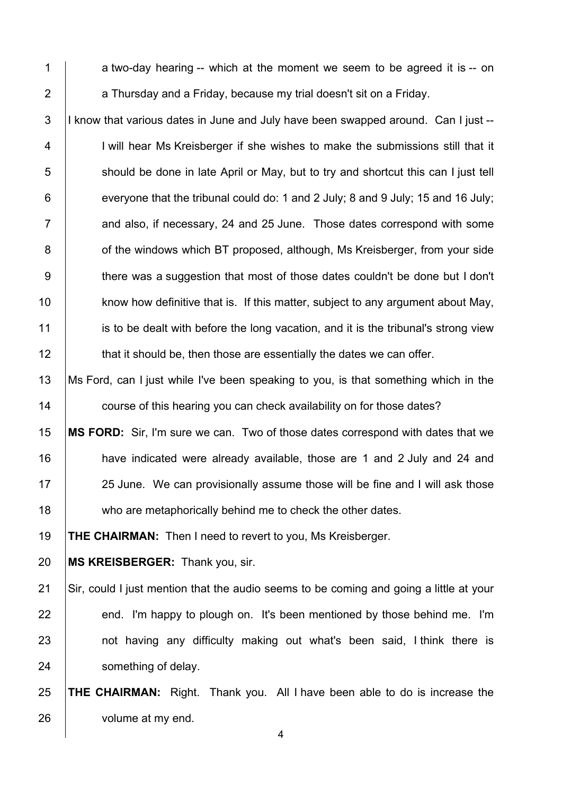1 a two-day hearing -- which at the moment we seem to be agreed it is -- on  $\parallel$  a Thursday and a Friday, because my trial doesn't sit on a Friday.

3 I know that various dates in June and July have been swapped around. Can I just --4 I I will hear Ms Kreisberger if she wishes to make the submissions still that it should be done in late April or May, but to try and shortcut this can I just tell everyone that the tribunal could do: 1 and 2 July; 8 and 9 July; 15 and 16 July; **Fig. 24** and also, if necessary, 24 and 25 June. Those dates correspond with some **b** of the windows which BT proposed, although, Ms Kreisberger, from your side 9 there was a suggestion that most of those dates couldn't be done but I don't 10 know how definitive that is. If this matter, subject to any argument about May, 11 is to be dealt with before the long vacation, and it is the tribunal's strong view **that it should be, then those are essentially the dates we can offer.** 

 Ms Ford, can I just while I've been speaking to you, is that something which in the **14** course of this hearing you can check availability on for those dates?

 **MS FORD:** Sir, I'm sure we can. Two of those dates correspond with dates that we **have indicated were already available, those are 1 and 2 July and 24 and** 17 | 25 June. We can provisionally assume those will be fine and I will ask those 18 who are metaphorically behind me to check the other dates.

**THE CHAIRMAN:** Then I need to revert to you, Ms Kreisberger.

**MS KREISBERGER:** Thank you, sir.

21 Sir, could I just mention that the audio seems to be coming and going a little at your end. I'm happy to plough on. It's been mentioned by those behind me. I'm 23 mot having any difficulty making out what's been said, I think there is something of delay.

 **THE CHAIRMAN:** Right. Thank you. All I have been able to do is increase the **volume at my end.**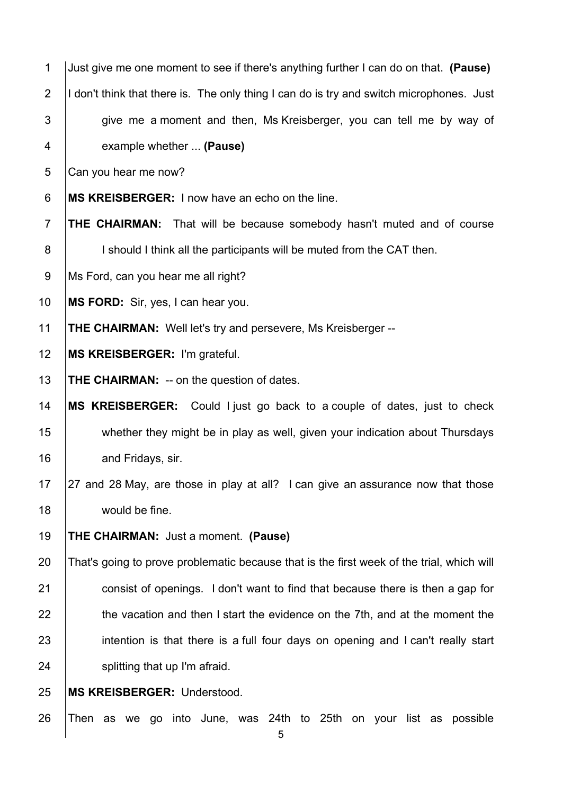| $\mathbf 1$    | Just give me one moment to see if there's anything further I can do on that. (Pause)      |  |
|----------------|-------------------------------------------------------------------------------------------|--|
| $\overline{2}$ | I don't think that there is. The only thing I can do is try and switch microphones. Just  |  |
| 3              | give me a moment and then, Ms Kreisberger, you can tell me by way of                      |  |
| 4              | example whether  (Pause)                                                                  |  |
| 5              | Can you hear me now?                                                                      |  |
| 6              | MS KREISBERGER: I now have an echo on the line.                                           |  |
| $\overline{7}$ | <b>THE CHAIRMAN:</b> That will be because somebody hasn't muted and of course             |  |
| 8              | I should I think all the participants will be muted from the CAT then.                    |  |
| $9\,$          | Ms Ford, can you hear me all right?                                                       |  |
| 10             | MS FORD: Sir, yes, I can hear you.                                                        |  |
| 11             | <b>THE CHAIRMAN:</b> Well let's try and persevere, Ms Kreisberger --                      |  |
| 12             | MS KREISBERGER: I'm grateful.                                                             |  |
| 13             | <b>THE CHAIRMAN: -- on the question of dates.</b>                                         |  |
| 14             | MS KREISBERGER: Could I just go back to a couple of dates, just to check                  |  |
| 15             | whether they might be in play as well, given your indication about Thursdays              |  |
| 16             | and Fridays, sir.                                                                         |  |
| 17             | 27 and 28 May, are those in play at all? I can give an assurance now that those           |  |
| 18             | would be fine.                                                                            |  |
| 19             | <b>THE CHAIRMAN:</b> Just a moment. (Pause)                                               |  |
| 20             | That's going to prove problematic because that is the first week of the trial, which will |  |
| 21             | consist of openings. I don't want to find that because there is then a gap for            |  |
| 22             | the vacation and then I start the evidence on the 7th, and at the moment the              |  |
| 23             | intention is that there is a full four days on opening and I can't really start           |  |
| 24             | splitting that up I'm afraid.                                                             |  |
| 25             | MS KREISBERGER: Understood.                                                               |  |
| 26             | Then as we go into June, was 24th to 25th on your list as possible<br>5                   |  |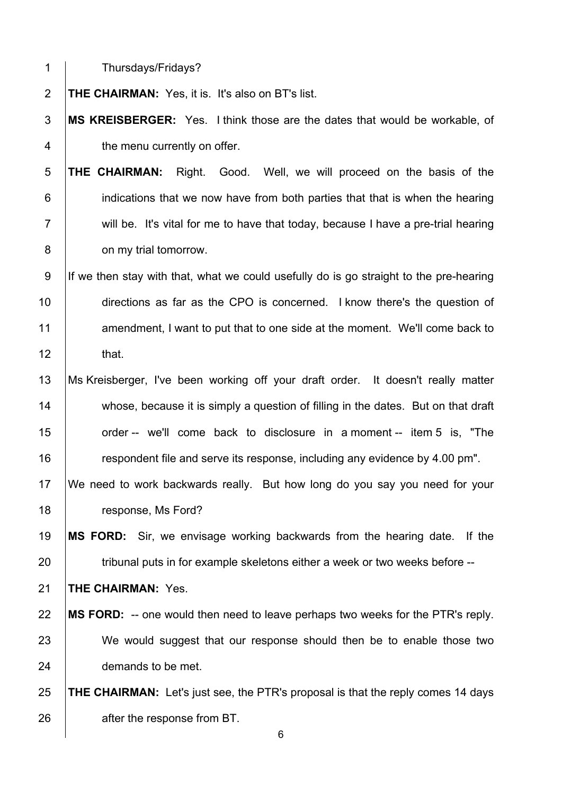1 | Thursdays/Fridays?

**THE CHAIRMAN:** Yes, it is. It's also on BT's list.

 **MS KREISBERGER:** Yes. I think those are the dates that would be workable, of **the menu currently on offer.** 

 **THE CHAIRMAN:** Right. Good. Well, we will proceed on the basis of the **iddications that we now have from both parties that that is when the hearing**   $\parallel$  will be. It's vital for me to have that today, because I have a pre-trial hearing **on my trial tomorrow.** 

 If we then stay with that, what we could usefully do is go straight to the pre-hearing 10 directions as far as the CPO is concerned. I know there's the question of 11 amendment, I want to put that to one side at the moment. We'll come back to that.

 Ms Kreisberger, I've been working off your draft order. It doesn't really matter 14 whose, because it is simply a question of filling in the dates. But on that draft **order** -- we'll come back to disclosure in a moment -- item 5 is, "The **Fig. 7** respondent file and serve its response, including any evidence by 4.00 pm".

 We need to work backwards really. But how long do you say you need for your **Ford?** response, Ms Ford?

 **MS FORD:** Sir, we envisage working backwards from the hearing date. If the 20 tribunal puts in for example skeletons either a week or two weeks before --

**THE CHAIRMAN:** Yes.

 **MS FORD:** -- one would then need to leave perhaps two weeks for the PTR's reply. 23 We would suggest that our response should then be to enable those two 24 demands to be met.

### **THE CHAIRMAN:** Let's just see, the PTR's proposal is that the reply comes 14 days **after the response from BT.**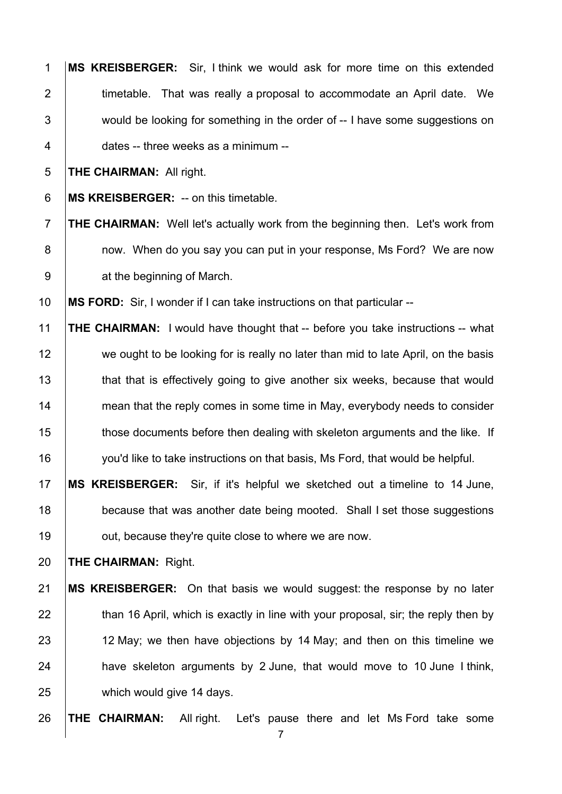| $\mathbf 1$    | MS KREISBERGER: Sir, I think we would ask for more time on this extended               |
|----------------|----------------------------------------------------------------------------------------|
| $\overline{2}$ | timetable. That was really a proposal to accommodate an April date. We                 |
| 3              | would be looking for something in the order of -- I have some suggestions on           |
| 4              | dates -- three weeks as a minimum --                                                   |
| $\sqrt{5}$     | <b>THE CHAIRMAN: All right.</b>                                                        |
| 6              | <b>MS KREISBERGER: -- on this timetable.</b>                                           |
| $\overline{7}$ | <b>THE CHAIRMAN:</b> Well let's actually work from the beginning then. Let's work from |
| 8              | now. When do you say you can put in your response, Ms Ford? We are now                 |
| $9\,$          | at the beginning of March.                                                             |
| 10             | MS FORD: Sir, I wonder if I can take instructions on that particular --                |
| 11             | <b>THE CHAIRMAN:</b> I would have thought that -- before you take instructions -- what |
| 12             | we ought to be looking for is really no later than mid to late April, on the basis     |
| 13             | that that is effectively going to give another six weeks, because that would           |
| 14             | mean that the reply comes in some time in May, everybody needs to consider             |
| 15             | those documents before then dealing with skeleton arguments and the like. If           |
| 16             | you'd like to take instructions on that basis, Ms Ford, that would be helpful.         |
| 17             | MS KREISBERGER: Sir, if it's helpful we sketched out a timeline to 14 June,            |
| 18             | because that was another date being mooted. Shall I set those suggestions              |
| 19             | out, because they're quite close to where we are now.                                  |
| 20             | <b>THE CHAIRMAN: Right.</b>                                                            |
| 21             | <b>MS KREISBERGER:</b> On that basis we would suggest: the response by no later        |
| 22             | than 16 April, which is exactly in line with your proposal, sir; the reply then by     |
| 23             | 12 May; we then have objections by 14 May; and then on this timeline we                |
| 24             | have skeleton arguments by 2 June, that would move to 10 June I think,                 |
| 25             | which would give 14 days.                                                              |

**THE CHAIRMAN:** All right. Let's pause there and let Ms Ford take some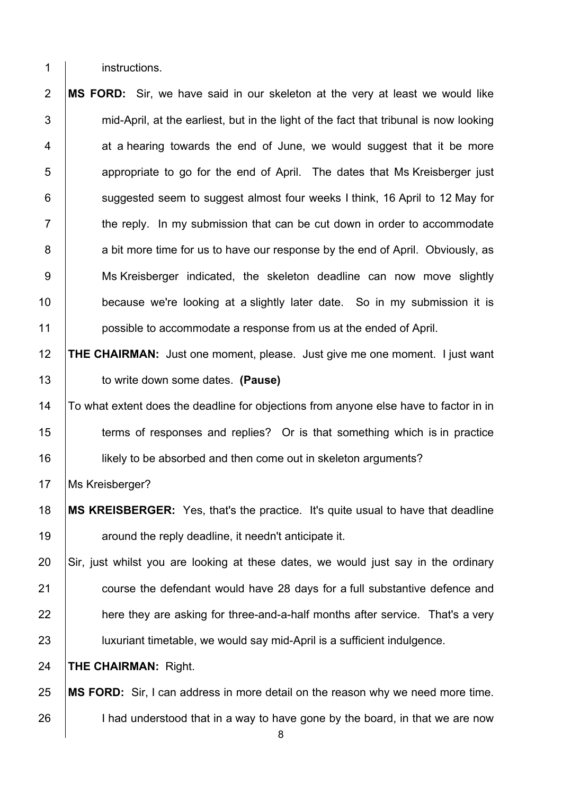1 | instructions.

 **MS FORD:** Sir, we have said in our skeleton at the very at least we would like | mid-April, at the earliest, but in the light of the fact that tribunal is now looking at a hearing towards the end of June, we would suggest that it be more **b** appropriate to go for the end of April. The dates that Ms Kreisberger just 6 Suggested seem to suggest almost four weeks I think, 16 April to 12 May for  $\vert$  the reply. In my submission that can be cut down in order to accommodate 8 a bit more time for us to have our response by the end of April. Obviously, as Ms Kreisberger indicated, the skeleton deadline can now move slightly **because we're looking at a slightly later date.** So in my submission it is **possible to accommodate a response from us at the ended of April.** 

- **THE CHAIRMAN:** Just one moment, please. Just give me one moment. I just want to write down some dates. **(Pause)**
- To what extent does the deadline for objections from anyone else have to factor in in **terms of responses and replies?** Or is that something which is in practice **likely to be absorbed and then come out in skeleton arguments?**

17 | Ms Kreisberger?

 **MS KREISBERGER:** Yes, that's the practice. It's quite usual to have that deadline **19** around the reply deadline, it needn't anticipate it.

 $\vert$  Sir, just whilst you are looking at these dates, we would just say in the ordinary **course the defendant would have 28 days for a full substantive defence and here they are asking for three-and-a-half months after service. That's a very luxuriant timetable, we would say mid-April is a sufficient indulgence.** 

**THE CHAIRMAN:** Right.

 **MS FORD:** Sir, I can address in more detail on the reason why we need more time. 26 I had understood that in a way to have gone by the board, in that we are now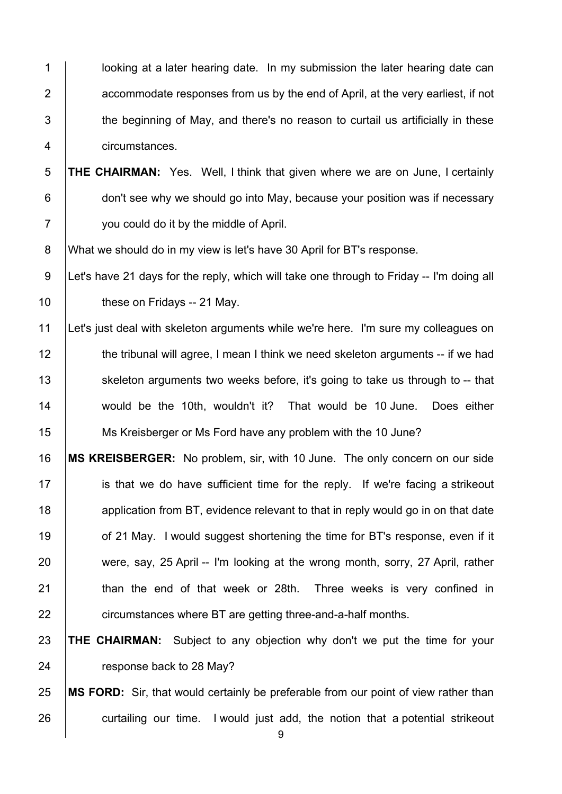looking at a later hearing date. In my submission the later hearing date can **2 accommodate responses from us by the end of April, at the very earliest, if not**   $\parallel$  the beginning of May, and there's no reason to curtail us artificially in these circumstances. **THE CHAIRMAN:** Yes. Well, I think that given where we are on June, I certainly **don't see why we should go into May, because your position was if necessary you could do it by the middle of April.** 8 What we should do in my view is let's have 30 April for BT's response. Let's have 21 days for the reply, which will take one through to Friday -- I'm doing all **these on Fridays -- 21 May.**  Let's just deal with skeleton arguments while we're here. I'm sure my colleagues on 12 the tribunal will agree, I mean I think we need skeleton arguments -- if we had 13 Skeleton arguments two weeks before, it's going to take us through to -- that 14 would be the 10th, wouldn't it? That would be 10 June. Does either Ms Kreisberger or Ms Ford have any problem with the 10 June? **MS KREISBERGER:** No problem, sir, with 10 June. The only concern on our side 17 is that we do have sufficient time for the reply. If we're facing a strikeout **18** application from BT, evidence relevant to that in reply would go in on that date **of 21 May.** I would suggest shortening the time for BT's response, even if it 20 were, say, 25 April -- I'm looking at the wrong month, sorry, 27 April, rather 21 Than the end of that week or 28th. Three weeks is very confined in **circumstances where BT are getting three-and-a-half months. THE CHAIRMAN:** Subject to any objection why don't we put the time for your **Figure** response back to 28 May? **MS FORD:** Sir, that would certainly be preferable from our point of view rather than

26 curtailing our time. I would just add, the notion that a potential strikeout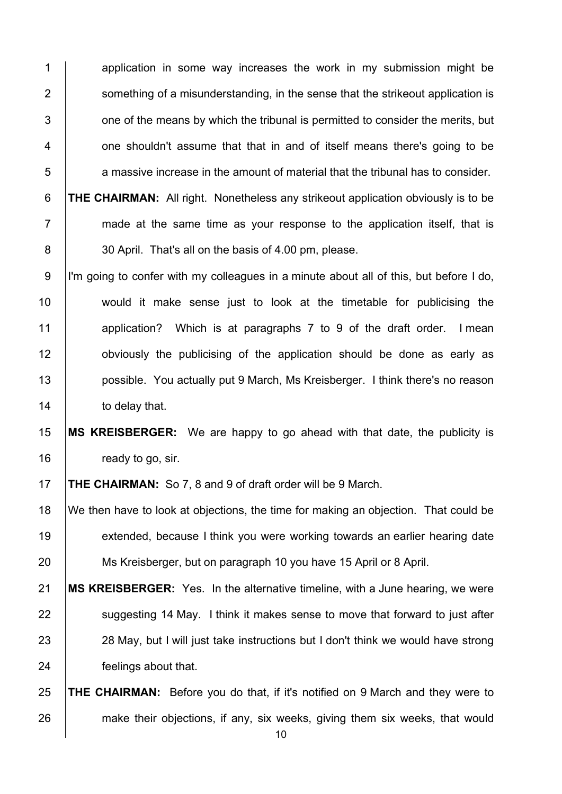1 application in some way increases the work in my submission might be 2 Something of a misunderstanding, in the sense that the strikeout application is  $3$   $\vert$  one of the means by which the tribunal is permitted to consider the merits, but 4 **1** one shouldn't assume that that in and of itself means there's going to be  $\overline{5}$  a massive increase in the amount of material that the tribunal has to consider.

6 **THE CHAIRMAN:** All right. Nonetheless any strikeout application obviously is to be  $7$   $\parallel$  made at the same time as your response to the application itself, that is 8 30 April. That's all on the basis of 4.00 pm, please.

9 I'm going to confer with my colleagues in a minute about all of this, but before I do, 10 would it make sense just to look at the timetable for publicising the 11 | application? Which is at paragraphs 7 to 9 of the draft order. I mean 12 **budge 12** obviously the publicising of the application should be done as early as 13 **possible.** You actually put 9 March, Ms Kreisberger. I think there's no reason 14 to delay that.

15 **MS KREISBERGER:** We are happy to go ahead with that date, the publicity is 16 **c** ready to go, sir.

17 **THE CHAIRMAN:** So 7, 8 and 9 of draft order will be 9 March.

18 We then have to look at objections, the time for making an objection. That could be 19 extended, because I think you were working towards an earlier hearing date 20 **Ms Kreisberger, but on paragraph 10 you have 15 April or 8 April.** 

21 **MS KREISBERGER:** Yes. In the alternative timeline, with a June hearing, we were 22 Suggesting 14 May. I think it makes sense to move that forward to just after 23 28 May, but I will just take instructions but I don't think we would have strong 24 **Feelings about that.** 

## 25 **THE CHAIRMAN:** Before you do that, if it's notified on 9 March and they were to 26 make their objections, if any, six weeks, giving them six weeks, that would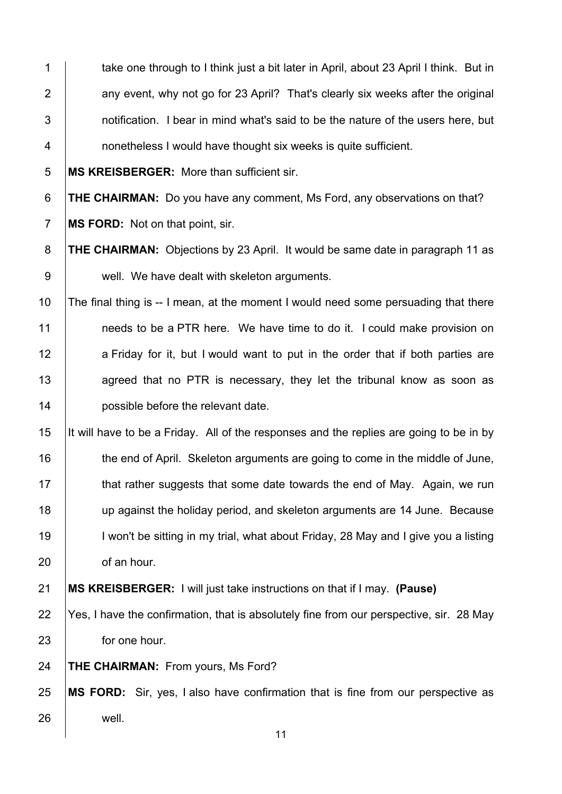1 take one through to I think just a bit later in April, about 23 April I think. But in  $\parallel$  any event, why not go for 23 April? That's clearly six weeks after the original | notification. I bear in mind what's said to be the nature of the users here, but **1** nonetheless I would have thought six weeks is quite sufficient. **MS KREISBERGER:** More than sufficient sir. **THE CHAIRMAN:** Do you have any comment, Ms Ford, any observations on that? **MS FORD:** Not on that point, sir. **THE CHAIRMAN:** Objections by 23 April. It would be same date in paragraph 11 as well. We have dealt with skeleton arguments. The final thing is -- I mean, at the moment I would need some persuading that there **needs to be a PTR here.** We have time to do it. I could make provision on 12 a Friday for it, but I would want to put in the order that if both parties are 13 agreed that no PTR is necessary, they let the tribunal know as soon as **possible before the relevant date.** 15 It will have to be a Friday. All of the responses and the replies are going to be in by 16 the end of April. Skeleton arguments are going to come in the middle of June, 17 that rather suggests that some date towards the end of May. Again, we run up against the holiday period, and skeleton arguments are 14 June. Because 19 I won't be sitting in my trial, what about Friday, 28 May and I give you a listing **of an hour. MS KREISBERGER:** I will just take instructions on that if I may. **(Pause)**  $\sqrt{2}$  Yes, I have the confirmation, that is absolutely fine from our perspective, sir. 28 May **for one hour. THE CHAIRMAN:** From yours, Ms Ford? **MS FORD:** Sir, yes, I also have confirmation that is fine from our perspective as well.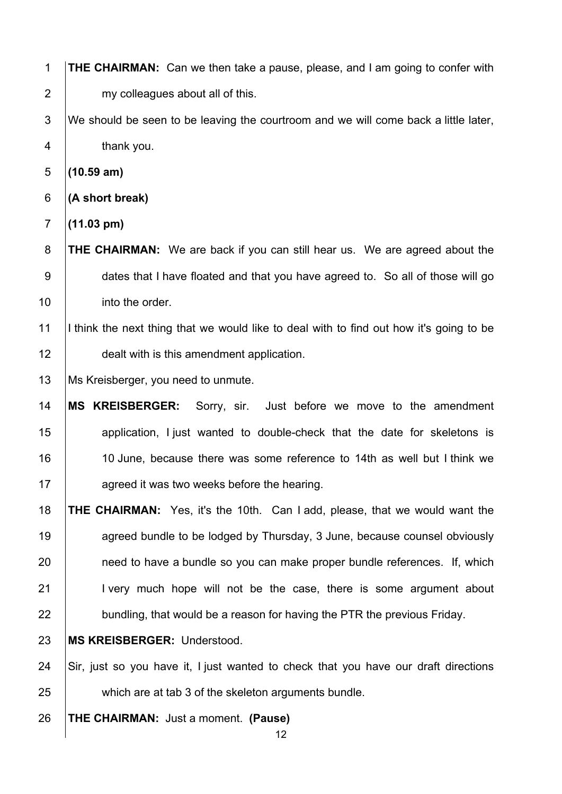| $\mathbf{1}$   | <b>THE CHAIRMAN:</b> Can we then take a pause, please, and I am going to confer with    |
|----------------|-----------------------------------------------------------------------------------------|
| $\overline{2}$ | my colleagues about all of this.                                                        |
| $\mathfrak{S}$ | We should be seen to be leaving the courtroom and we will come back a little later,     |
| 4              | thank you.                                                                              |
| $\sqrt{5}$     | (10.59 am)                                                                              |
| 6              | (A short break)                                                                         |
| $\overline{7}$ | $(11.03 \text{ pm})$                                                                    |
| 8              | <b>THE CHAIRMAN:</b> We are back if you can still hear us. We are agreed about the      |
| 9              | dates that I have floated and that you have agreed to. So all of those will go          |
| 10             | into the order.                                                                         |
| 11             | I think the next thing that we would like to deal with to find out how it's going to be |
| 12             | dealt with is this amendment application.                                               |
| 13             | Ms Kreisberger, you need to unmute.                                                     |
| 14             | <b>MS KREISBERGER:</b><br>Sorry, sir. Just before we move to the amendment              |
| 15             | application, I just wanted to double-check that the date for skeletons is               |
| 16             | 10 June, because there was some reference to 14th as well but I think we                |
| 17             | agreed it was two weeks before the hearing.                                             |
| 18             | <b>THE CHAIRMAN:</b> Yes, it's the 10th. Can I add, please, that we would want the      |
| 19             | agreed bundle to be lodged by Thursday, 3 June, because counsel obviously               |
| 20             | need to have a bundle so you can make proper bundle references. If, which               |
| 21             | I very much hope will not be the case, there is some argument about                     |
| 22             | bundling, that would be a reason for having the PTR the previous Friday.                |
| 23             | <b>MS KREISBERGER: Understood.</b>                                                      |
| 24             | Sir, just so you have it, I just wanted to check that you have our draft directions     |
| 25             | which are at tab 3 of the skeleton arguments bundle.                                    |
| 26             | <b>THE CHAIRMAN:</b> Just a moment. (Pause)<br>12                                       |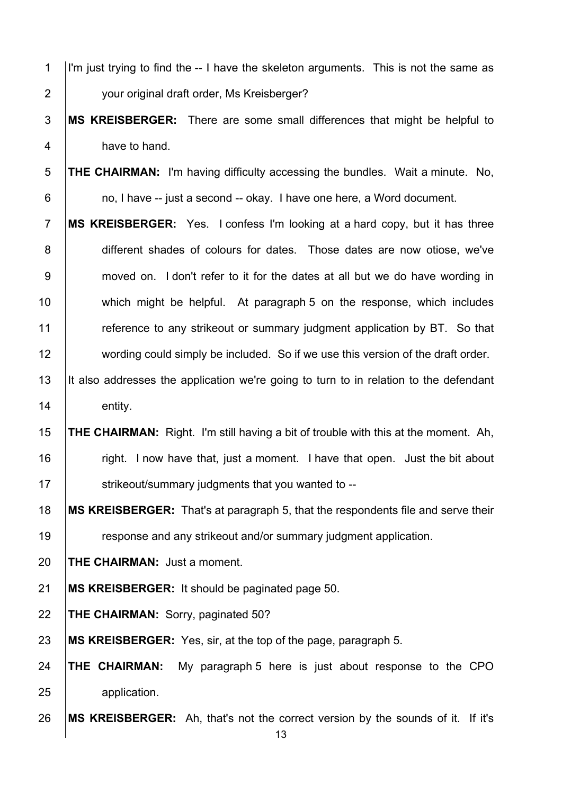- 1 I'm just trying to find the -- I have the skeleton arguments. This is not the same as 2 | vour original draft order, Ms Kreisberger?
- **MS KREISBERGER:** There are some small differences that might be helpful to have to hand.

 **THE CHAIRMAN:** I'm having difficulty accessing the bundles. Wait a minute. No, | no, I have -- just a second -- okay. I have one here, a Word document.

 **MS KREISBERGER:** Yes. I confess I'm looking at a hard copy, but it has three 8 different shades of colours for dates. Those dates are now otiose, we've moved on. I don't refer to it for the dates at all but we do have wording in 10 which might be helpful. At paragraph 5 on the response, which includes **Fig. 2** reference to any strikeout or summary judgment application by BT. So that 12 wording could simply be included. So if we use this version of the draft order.

13 It also addresses the application we're going to turn to in relation to the defendant 14 entity.

## **THE CHAIRMAN:** Right. I'm still having a bit of trouble with this at the moment. Ah, **Fight.** I now have that, just a moment. I have that open. Just the bit about 17 Strikeout/summary judgments that you wanted to --

 **MS KREISBERGER:** That's at paragraph 5, that the respondents file and serve their **Fig. 3** response and any strikeout and/or summary judgment application.

**THE CHAIRMAN:** Just a moment.

- **MS KREISBERGER:** It should be paginated page 50.
- **THE CHAIRMAN:** Sorry, paginated 50?
- **MS KREISBERGER:** Yes, sir, at the top of the page, paragraph 5.
- **THE CHAIRMAN:** My paragraph 5 here is just about response to the CPO application.
- **MS KREISBERGER:** Ah, that's not the correct version by the sounds of it. If it's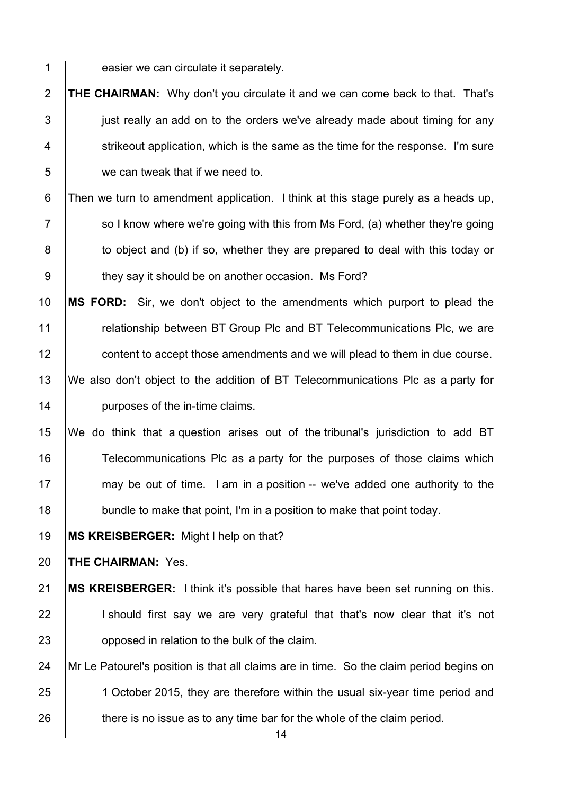1 easier we can circulate it separately.

 **THE CHAIRMAN:** Why don't you circulate it and we can come back to that. That's  $\vert$  iust really an add on to the orders we've already made about timing for any 4 Strikeout application, which is the same as the time for the response. I'm sure we can tweak that if we need to.

 Then we turn to amendment application. I think at this stage purely as a heads up,  $7 \mid$  so I know where we're going with this from Ms Ford, (a) whether they're going 8 to object and (b) if so, whether they are prepared to deal with this today or **b** they say it should be on another occasion. Ms Ford?

 **MS FORD:** Sir, we don't object to the amendments which purport to plead the **Fig. 2** relationship between BT Group Plc and BT Telecommunications Plc, we are **content to accept those amendments and we will plead to them in due course.**  We also don't object to the addition of BT Telecommunications Plc as a party for **purposes of the in-time claims.** 

 We do think that a question arises out of the tribunal's jurisdiction to add BT 16 Telecommunications Plc as a party for the purposes of those claims which 17 may be out of time. I am in a position -- we've added one authority to the **bundle to make that point, I'm in a position to make that point today.** 

**MS KREISBERGER:** Might I help on that?

**THE CHAIRMAN:** Yes.

 **MS KREISBERGER:** I think it's possible that hares have been set running on this. 22 | I should first say we are very grateful that that's now clear that it's not **b** opposed in relation to the bulk of the claim.

24 Mr Le Patourel's position is that all claims are in time. So the claim period begins on 25 1 1 October 2015, they are therefore within the usual six-year time period and there is no issue as to any time bar for the whole of the claim period.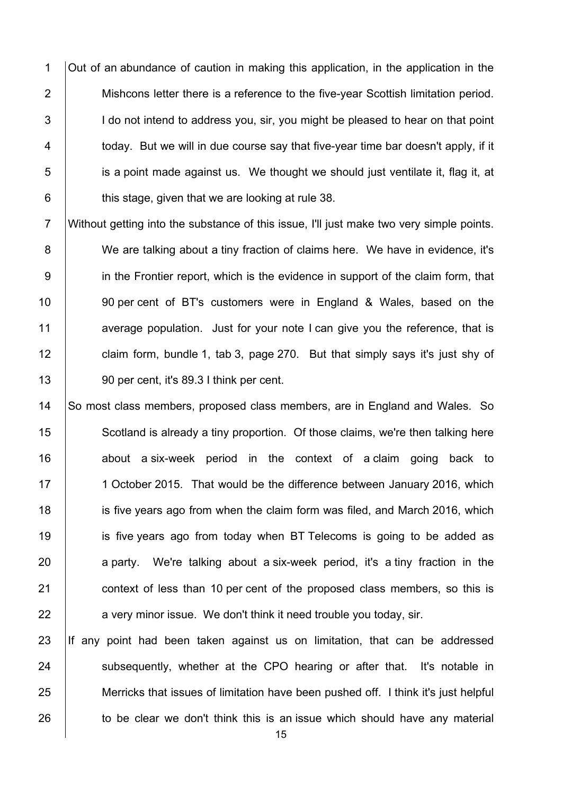Out of an abundance of caution in making this application, in the application in the 2 | Mishcons letter there is a reference to the five-year Scottish limitation period. 3 I do not intend to address you, sir, you might be pleased to hear on that point  $\parallel$  today. But we will in due course say that five-year time bar doesn't apply, if it **is a point made against us. We thought we should just ventilate it, flag it, at this stage, given that we are looking at rule 38.** 

7 Without getting into the substance of this issue, I'll just make two very simple points. 8 We are talking about a tiny fraction of claims here. We have in evidence, it's 9 in the Frontier report, which is the evidence in support of the claim form, that 10 90 per cent of BT's customers were in England & Wales, based on the 11 average population. Just for your note I can give you the reference, that is 12 claim form, bundle 1, tab 3, page 270. But that simply says it's just shy of 13 90 per cent, it's 89.3 I think per cent.

14 So most class members, proposed class members, are in England and Wales. So 15 Scotland is already a tiny proportion. Of those claims, we're then talking here 16 about a six-week period in the context of a claim going back to 17 1 1 October 2015. That would be the difference between January 2016, which 18 **ignor** is five years ago from when the claim form was filed, and March 2016, which 19 is five years ago from today when BT Telecoms is going to be added as 20 a party. We're talking about a six-week period, it's a tiny fraction in the 21 **context of less than 10 per cent of the proposed class members, so this is**  $22$  a very minor issue. We don't think it need trouble you today, sir.

 If any point had been taken against us on limitation, that can be addressed 24 Subsequently, whether at the CPO hearing or after that. It's notable in Merricks that issues of limitation have been pushed off. I think it's just helpful to be clear we don't think this is an issue which should have any material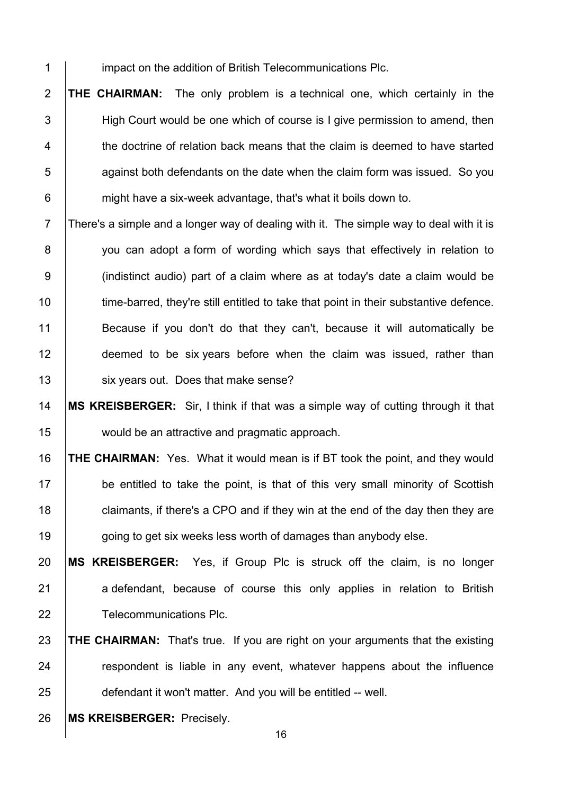**impact on the addition of British Telecommunications Plc.** 

 **THE CHAIRMAN:** The only problem is a technical one, which certainly in the High Court would be one which of course is I give permission to amend, then 4 the doctrine of relation back means that the claim is deemed to have started against both defendants on the date when the claim form was issued. So you | might have a six-week advantage, that's what it boils down to.

 $\vert$ There's a simple and a longer way of dealing with it. The simple way to deal with it is 8 you can adopt a form of wording which says that effectively in relation to (indistinct audio) part of a claim where as at today's date a claim would be 10 time-barred, they're still entitled to take that point in their substantive defence. Because if you don't do that they can't, because it will automatically be 12 deemed to be six years before when the claim was issued, rather than **Solut** six years out. Does that make sense?

 **MS KREISBERGER:** Sir, I think if that was a simple way of cutting through it that would be an attractive and pragmatic approach.

 **THE CHAIRMAN:** Yes. What it would mean is if BT took the point, and they would 17 be entitled to take the point, is that of this very small minority of Scottish 18 claimants, if there's a CPO and if they win at the end of the day then they are **going to get six weeks less worth of damages than anybody else.** 

 **MS KREISBERGER:** Yes, if Group Plc is struck off the claim, is no longer 21 a defendant, because of course this only applies in relation to British Telecommunications Plc.

- **THE CHAIRMAN:** That's true. If you are right on your arguments that the existing respondent is liable in any event, whatever happens about the influence **defendant it won't matter.** And you will be entitled -- well.
- **MS KREISBERGER:** Precisely.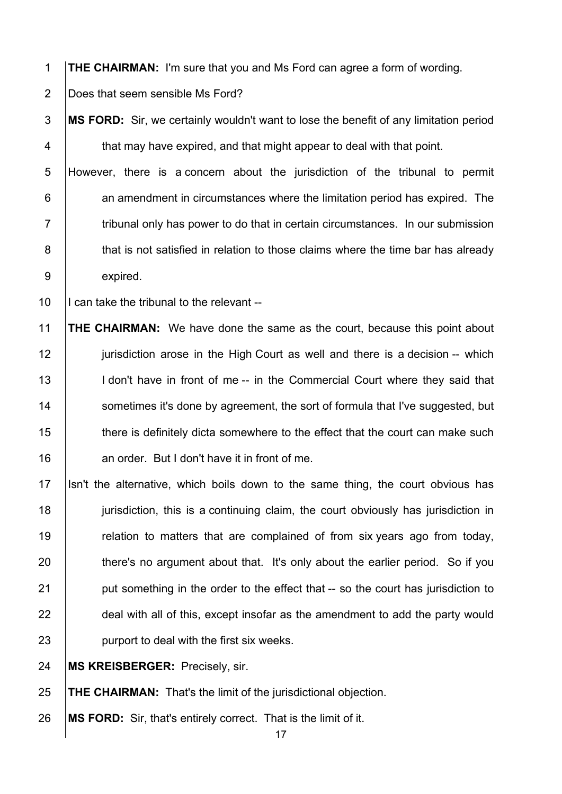**THE CHAIRMAN:** I'm sure that you and Ms Ford can agree a form of wording.

2 Does that seem sensible Ms Ford?

 **MS FORD:** Sir, we certainly wouldn't want to lose the benefit of any limitation period 4 that may have expired, and that might appear to deal with that point.

 However, there is a concern about the jurisdiction of the tribunal to permit **1** an amendment in circumstances where the limitation period has expired. The  $\vert$  tribunal only has power to do that in certain circumstances. In our submission **that is not satisfied in relation to those claims where the time bar has already** 9 expired.

I can take the tribunal to the relevant  $-$ 

 **THE CHAIRMAN:** We have done the same as the court, because this point about **jurisdiction arose in the High Court as well and there is a decision -- which** 13 | I don't have in front of me -- in the Commercial Court where they said that 14 Sometimes it's done by agreement, the sort of formula that I've suggested, but 15 there is definitely dicta somewhere to the effect that the court can make such **an order.** But I don't have it in front of me.

 Isn't the alternative, which boils down to the same thing, the court obvious has 18 jurisdiction, this is a continuing claim, the court obviously has jurisdiction in **Figure 19** relation to matters that are complained of from six years ago from today, 20 there's no argument about that. It's only about the earlier period. So if you **put something in the order to the effect that -- so the court has jurisdiction to** 22 deal with all of this, except insofar as the amendment to add the party would **purport to deal with the first six weeks.** 

**MS KREISBERGER:** Precisely, sir.

- **THE CHAIRMAN:** That's the limit of the jurisdictional objection.
- **MS FORD:** Sir, that's entirely correct. That is the limit of it.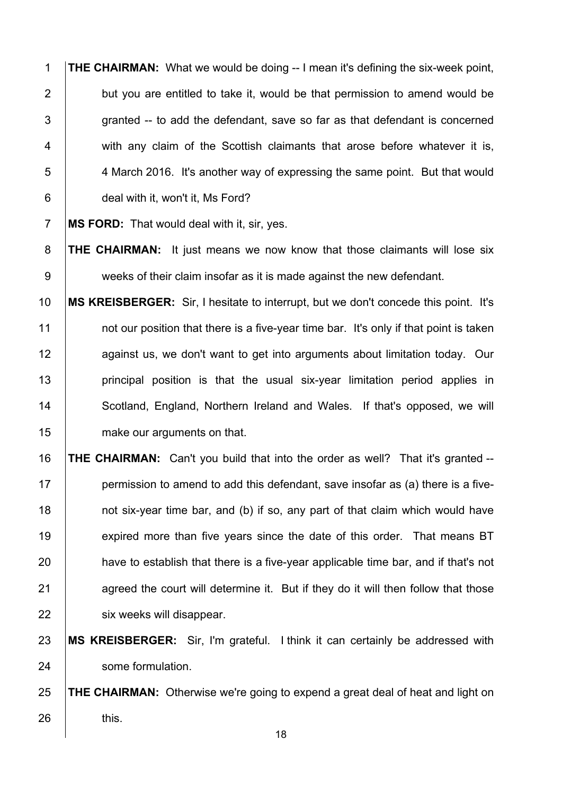**THE CHAIRMAN:** What we would be doing -- I mean it's defining the six-week point, | but you are entitled to take it, would be that permission to amend would be  $\vert$  granted -- to add the defendant, save so far as that defendant is concerned 4 with any claim of the Scottish claimants that arose before whatever it is, 4 March 2016. It's another way of expressing the same point. But that would **deal with it, won't it, Ms Ford?** 

**MS FORD:** That would deal with it, sir, yes.

 **THE CHAIRMAN:** It just means we now know that those claimants will lose six 9 weeks of their claim insofar as it is made against the new defendant.

 **MS KREISBERGER:** Sir, I hesitate to interrupt, but we don't concede this point. It's **1** not our position that there is a five-vear time bar. It's only if that point is taken **12** against us, we don't want to get into arguments about limitation today. Our 13 | principal position is that the usual six-year limitation period applies in 14 Scotland, England, Northern Ireland and Wales. If that's opposed, we will **make our arguments on that.** 

 **THE CHAIRMAN:** Can't you build that into the order as well? That it's granted -- **permission to amend to add this defendant, save insofar as (a) there is a five-18** not six-year time bar, and (b) if so, any part of that claim which would have 19 expired more than five years since the date of this order. That means BT 20 have to establish that there is a five-year applicable time bar, and if that's not agreed the court will determine it. But if they do it will then follow that those **Six weeks will disappear.** 

 **MS KREISBERGER:** Sir, I'm grateful. I think it can certainly be addressed with 24 some formulation.

 **THE CHAIRMAN:** Otherwise we're going to expend a great deal of heat and light on  $\qquad$  this.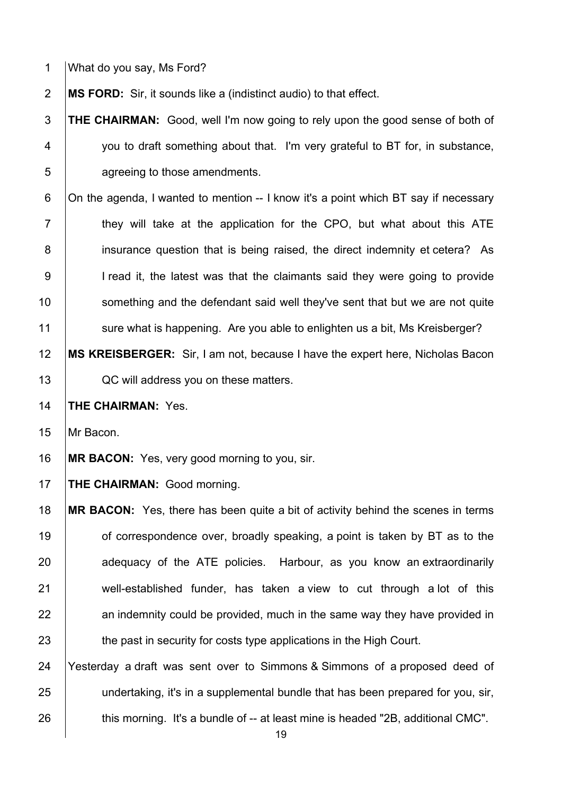What do you say, Ms Ford?

**MS FORD:** Sir, it sounds like a (indistinct audio) to that effect.

 **THE CHAIRMAN:** Good, well I'm now going to rely upon the good sense of both of you to draft something about that. I'm very grateful to BT for, in substance, **b** agreeing to those amendments.

6  $\vert$  On the agenda, I wanted to mention -- I know it's a point which BT say if necessary  $\parallel$  they will take at the application for the CPO, but what about this ATE 8 insurance question that is being raised, the direct indemnity et cetera? As 9 | I read it, the latest was that the claimants said they were going to provide 10 Something and the defendant said well they've sent that but we are not quite 11 Sure what is happening. Are you able to enlighten us a bit, Ms Kreisberger? **MS KREISBERGER:** Sir, I am not, because I have the expert here, Nicholas Bacon

- **QC** will address you on these matters.
- **THE CHAIRMAN:** Yes.

15 | Mr Bacon.

- **MR BACON:** Yes, very good morning to you, sir.
- **THE CHAIRMAN:** Good morning.

 **MR BACON:** Yes, there has been quite a bit of activity behind the scenes in terms **19** of correspondence over, broadly speaking, a point is taken by BT as to the 20 adequacy of the ATE policies. Harbour, as you know an extraordinarily 21 well-established funder, has taken a view to cut through a lot of this an indemnity could be provided, much in the same way they have provided in 23 the past in security for costs type applications in the High Court.

 Yesterday a draft was sent over to Simmons & Simmons of a proposed deed of undertaking, it's in a supplemental bundle that has been prepared for you, sir, 26 this morning. It's a bundle of -- at least mine is headed "2B, additional CMC".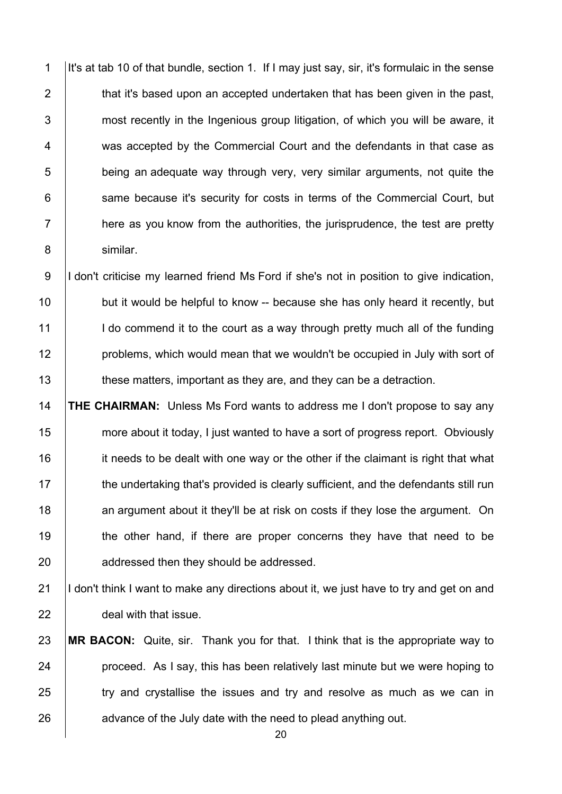1 It's at tab 10 of that bundle, section 1. If I may just say, sir, it's formulaic in the sense  $2 \mid$  that it's based upon an accepted undertaken that has been given in the past,  $3$  | most recently in the Ingenious group litigation, of which you will be aware, it 4 Was accepted by the Commercial Court and the defendants in that case as 5 being an adequate way through very, very similar arguments, not quite the 6 Same because it's security for costs in terms of the Commercial Court, but  $7$  | here as you know from the authorities, the jurisprudence, the test are pretty 8 | similar.

9 I don't criticise my learned friend Ms Ford if she's not in position to give indication, 10 **but it would be helpful to know -- because she has only heard it recently, but** 11 I I do commend it to the court as a way through pretty much all of the funding 12 **problems, which would mean that we wouldn't be occupied in July with sort of** 13 these matters, important as they are, and they can be a detraction.

14 **THE CHAIRMAN:** Unless Ms Ford wants to address me I don't propose to say any 15 more about it today, I just wanted to have a sort of progress report. Obviously 16 it needs to be dealt with one way or the other if the claimant is right that what 17 the undertaking that's provided is clearly sufficient, and the defendants still run 18 an argument about it they'll be at risk on costs if they lose the argument. On 19 the other hand, if there are proper concerns they have that need to be 20 **addressed then they should be addressed.** 

21 | I don't think I want to make any directions about it, we just have to try and get on and 22 **deal with that issue.** 

# 23 **MR BACON:** Quite, sir. Thank you for that. I think that is the appropriate way to  $24$  | proceed. As I say, this has been relatively last minute but we were hoping to 25 try and crystallise the issues and try and resolve as much as we can in 26 advance of the July date with the need to plead anything out.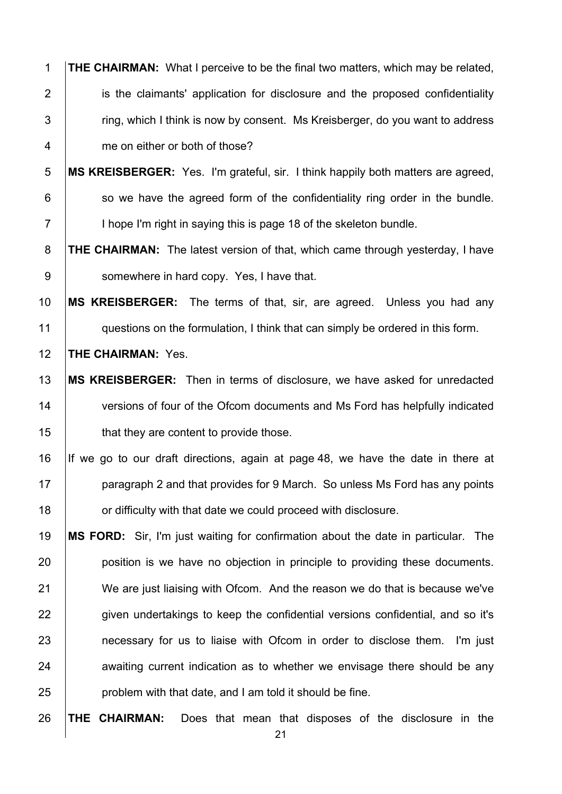- **THE CHAIRMAN:** What I perceive to be the final two matters, which may be related, **i** is the claimants' application for disclosure and the proposed confidentiality 3 T<sub>im</sub> ing. which I think is now by consent. Ms Kreisberger, do you want to address **me on either or both of those? MS KREISBERGER:** Yes. I'm grateful, sir. I think happily both matters are agreed, so we have the agreed form of the confidentiality ring order in the bundle. 7 | I hope I'm right in saying this is page 18 of the skeleton bundle. **THE CHAIRMAN:** The latest version of that, which came through yesterday, I have 9 Somewhere in hard copy. Yes, I have that. **MS KREISBERGER:** The terms of that, sir, are agreed. Unless you had any **questions on the formulation, I think that can simply be ordered in this form. THE CHAIRMAN:** Yes. **MS KREISBERGER:** Then in terms of disclosure, we have asked for unredacted 14 versions of four of the Ofcom documents and Ms Ford has helpfully indicated **that they are content to provide those.**  If we go to our draft directions, again at page 48, we have the date in there at **paragraph 2 and that provides for 9 March.** So unless Ms Ford has any points **Fig. 2** or difficulty with that date we could proceed with disclosure. **MS FORD:** Sir, I'm just waiting for confirmation about the date in particular. The position is we have no objection in principle to providing these documents. 21 We are just liaising with Ofcom. And the reason we do that is because we've 22 given undertakings to keep the confidential versions confidential, and so it's **necessary for us to liaise with Ofcom in order to disclose them.** I'm just awaiting current indication as to whether we envisage there should be any | problem with that date, and I am told it should be fine. **THE CHAIRMAN:** Does that mean that disposes of the disclosure in the
	-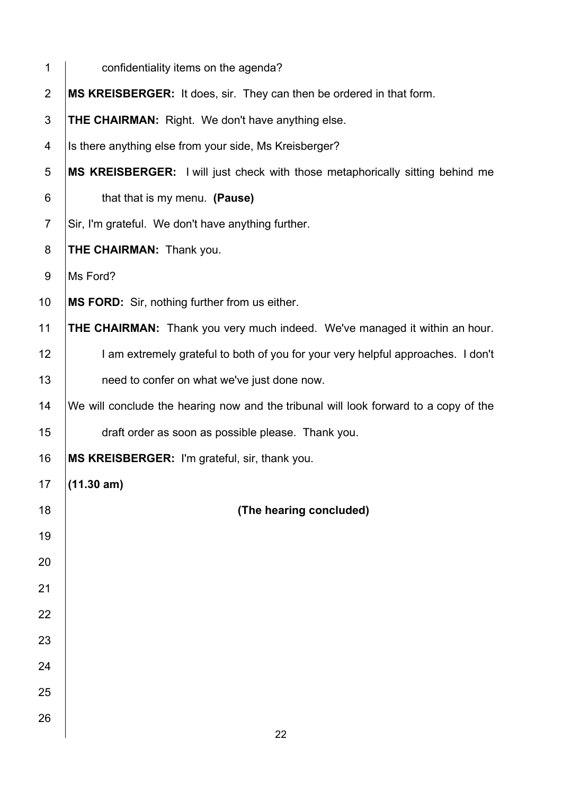| 1              | confidentiality items on the agenda?                                                 |  |
|----------------|--------------------------------------------------------------------------------------|--|
| $\overline{2}$ | MS KREISBERGER: It does, sir. They can then be ordered in that form.                 |  |
| 3              | <b>THE CHAIRMAN:</b> Right. We don't have anything else.                             |  |
| 4              | Is there anything else from your side, Ms Kreisberger?                               |  |
| 5              | MS KREISBERGER: I will just check with those metaphorically sitting behind me        |  |
| 6              | that that is my menu. (Pause)                                                        |  |
| $\overline{7}$ | Sir, I'm grateful. We don't have anything further.                                   |  |
| 8              | THE CHAIRMAN: Thank you.                                                             |  |
| $9\,$          | Ms Ford?                                                                             |  |
| 10             | MS FORD: Sir, nothing further from us either.                                        |  |
| 11             | THE CHAIRMAN: Thank you very much indeed. We've managed it within an hour.           |  |
| 12             | I am extremely grateful to both of you for your very helpful approaches. I don't     |  |
| 13             | need to confer on what we've just done now.                                          |  |
| 14             | We will conclude the hearing now and the tribunal will look forward to a copy of the |  |
| 15             | draft order as soon as possible please. Thank you.                                   |  |
| 16             | MS KREISBERGER: I'm grateful, sir, thank you.                                        |  |
| 17             | (11.30 am)                                                                           |  |
| 18             | (The hearing concluded)                                                              |  |
| 19             |                                                                                      |  |
| 20             |                                                                                      |  |
| 21             |                                                                                      |  |
| 22             |                                                                                      |  |
| 23             |                                                                                      |  |
| 24             |                                                                                      |  |
| 25             |                                                                                      |  |
| 26             | 22                                                                                   |  |
|                |                                                                                      |  |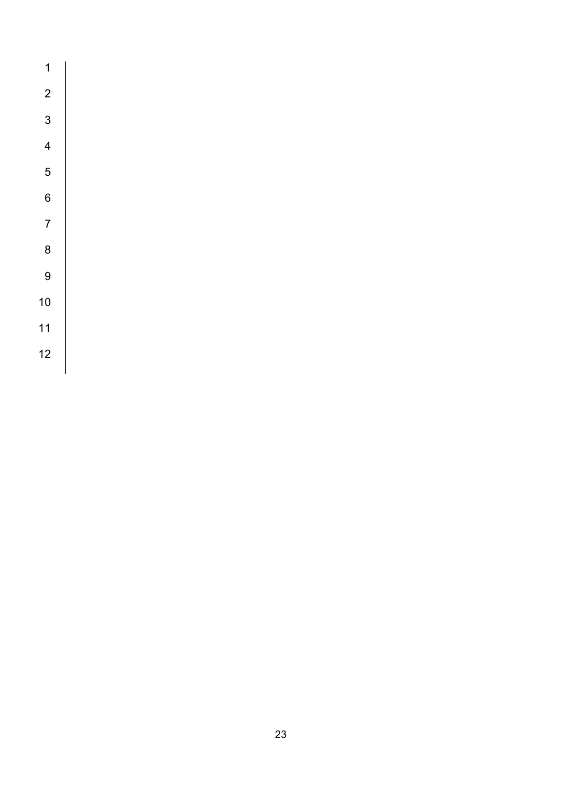| 1  |  |
|----|--|
| 2  |  |
| 3  |  |
| 4  |  |
| 5  |  |
| 6  |  |
| 7  |  |
| 8  |  |
| 9  |  |
| 10 |  |
| 11 |  |
| 12 |  |
|    |  |